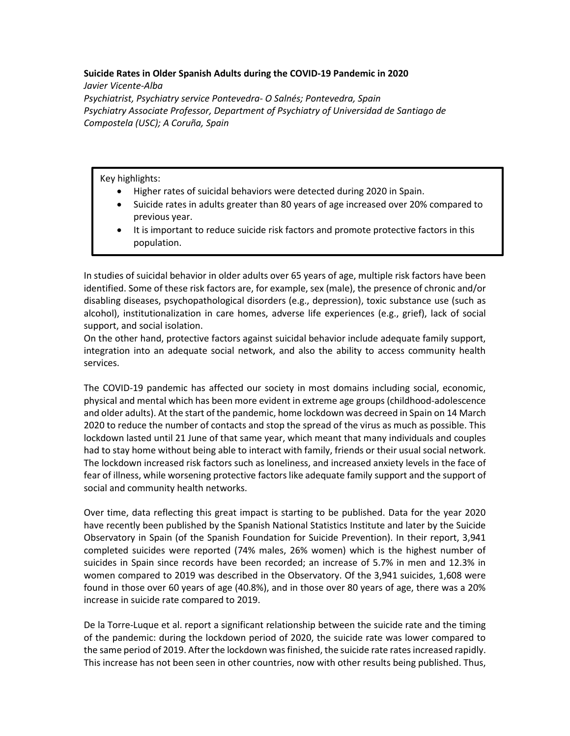## **Suicide Rates in Older Spanish Adults during the COVID-19 Pandemic in 2020**

*Javier Vicente-Alba Psychiatrist, Psychiatry service Pontevedra- O Salnés; Pontevedra, Spain Psychiatry Associate Professor, Department of Psychiatry of Universidad de Santiago de Compostela (USC); A Coruña, Spain*

Key highlights:

- Higher rates of suicidal behaviors were detected during 2020 in Spain.
- Suicide rates in adults greater than 80 years of age increased over 20% compared to previous year.
- It is important to reduce suicide risk factors and promote protective factors in this population.

In studies of suicidal behavior in older adults over 65 years of age, multiple risk factors have been identified. Some of these risk factors are, for example, sex (male), the presence of chronic and/or disabling diseases, psychopathological disorders (e.g., depression), toxic substance use (such as alcohol), institutionalization in care homes, adverse life experiences (e.g., grief), lack of social support, and social isolation.

On the other hand, protective factors against suicidal behavior include adequate family support, integration into an adequate social network, and also the ability to access community health services.

The COVID-19 pandemic has affected our society in most domains including social, economic, physical and mental which has been more evident in extreme age groups (childhood-adolescence and older adults). At the start of the pandemic, home lockdown was decreed in Spain on 14 March 2020 to reduce the number of contacts and stop the spread of the virus as much as possible. This lockdown lasted until 21 June of that same year, which meant that many individuals and couples had to stay home without being able to interact with family, friends or their usual social network. The lockdown increased risk factors such as loneliness, and increased anxiety levels in the face of fear of illness, while worsening protective factors like adequate family support and the support of social and community health networks.

Over time, data reflecting this great impact is starting to be published. Data for the year 2020 have recently been published by the Spanish National Statistics Institute and later by the Suicide Observatory in Spain (of the Spanish Foundation for Suicide Prevention). In their report, 3,941 completed suicides were reported (74% males, 26% women) which is the highest number of suicides in Spain since records have been recorded; an increase of 5.7% in men and 12.3% in women compared to 2019 was described in the Observatory. Of the 3,941 suicides, 1,608 were found in those over 60 years of age (40.8%), and in those over 80 years of age, there was a 20% increase in suicide rate compared to 2019.

De la Torre-Luque et al. report a significant relationship between the suicide rate and the timing of the pandemic: during the lockdown period of 2020, the suicide rate was lower compared to the same period of 2019. After the lockdown was finished, the suicide rate rates increased rapidly. This increase has not been seen in other countries, now with other results being published. Thus,